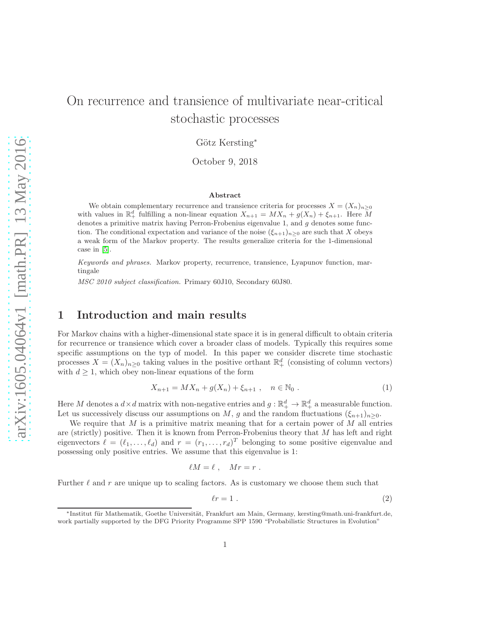# On recurrence and transience of multivariate near-critical stochastic processes

Götz Kersting<sup>\*</sup>

October 9, 2018

#### Abstract

We obtain complementary recurrence and transience criteria for processes  $X = (X_n)_{n\geq 0}$ with values in  $\mathbb{R}^d_+$  fulfilling a non-linear equation  $X_{n+1} = MX_n + g(X_n) + \xi_{n+1}$ . Here M denotes a primitive matrix having Perron-Frobenius eigenvalue 1, and g denotes some function. The conditional expectation and variance of the noise  $(\xi_{n+1})_{n\geq 0}$  are such that X obeys a weak form of the Markov property. The results generalize criteria for the 1-dimensional case in [\[5\]](#page-11-0).

Keywords and phrases. Markov property, recurrence, transience, Lyapunov function, martingale

MSC 2010 subject classification. Primary 60J10, Secondary 60J80.

#### 1 Introduction and main results

For Markov chains with a higher-dimensional state space it is in general difficult to obtain criteria for recurrence or transience which cover a broader class of models. Typically this requires some specific assumptions on the typ of model. In this paper we consider discrete time stochastic processes  $X = (X_n)_{n \geq 0}$  taking values in the positive orthant  $\mathbb{R}^d_+$  (consisting of column vectors) with  $d \geq 1$ , which obey non-linear equations of the form

$$
X_{n+1} = MX_n + g(X_n) + \xi_{n+1} , \quad n \in \mathbb{N}_0 .
$$
 (1)

Here M denotes a  $d \times d$  matrix with non-negative entries and  $g : \mathbb{R}^d_+ \to \mathbb{R}^d_+$  a measurable function. Let us successively discuss our assumptions on M, g and the random fluctuations  $(\xi_{n+1})_{n>0}$ .

We require that M is a primitive matrix meaning that for a certain power of M all entries are (strictly) positive. Then it is known from Perron-Frobenius theory that M has left and right eigenvectors  $\ell = (\ell_1, \ldots, \ell_d)$  and  $r = (r_1, \ldots, r_d)^T$  belonging to some positive eigenvalue and possessing only positive entries. We assume that this eigenvalue is 1:

$$
\ell M = \ell \;, \quad Mr = r \; .
$$

Further  $\ell$  and r are unique up to scaling factors. As is customary we choose them such that

<span id="page-0-1"></span><span id="page-0-0"></span>
$$
\ell r = 1 \tag{2}
$$

<sup>∗</sup>Institut f¨ur Mathematik, Goethe Universit¨at, Frankfurt am Main, Germany, kersting@math.uni-frankfurt.de, work partially supported by the DFG Priority Programme SPP 1590 "Probabilistic Structures in Evolution"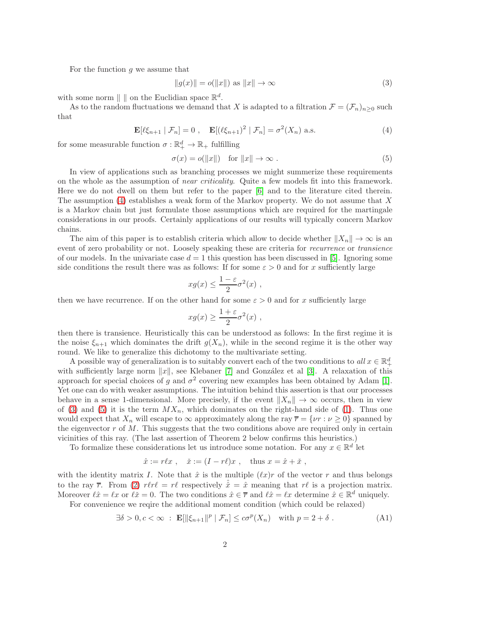For the function  $q$  we assume that

<span id="page-1-1"></span><span id="page-1-0"></span>
$$
||g(x)|| = o(||x||) \text{ as } ||x|| \to \infty \tag{3}
$$

with some norm  $\| \cdot \|$  on the Euclidian space  $\mathbb{R}^d$ .

As to the random fluctuations we demand that X is adapted to a filtration  $\mathcal{F} = (\mathcal{F}_n)_{n>0}$  such that

$$
\mathbf{E}[\ell\xi_{n+1} \mid \mathcal{F}_n] = 0 \;, \quad \mathbf{E}[(\ell\xi_{n+1})^2 \mid \mathcal{F}_n] = \sigma^2(X_n) \text{ a.s.} \tag{4}
$$

for some measurable function  $\sigma : \mathbb{R}^d_+ \to \mathbb{R}_+$  fulfilling

<span id="page-1-2"></span>
$$
\sigma(x) = o(\|x\|) \quad \text{for } \|x\| \to \infty \tag{5}
$$

In view of applications such as branching processes we might summerize these requirements on the whole as the assumption of near criticality. Quite a few models fit into this framework. Here we do not dwell on them but refer to the paper [\[6\]](#page-11-1) and to the literature cited therein. The assumption [\(4\)](#page-1-0) establishes a weak form of the Markov property. We do not assume that X is a Markov chain but just formulate those assumptions which are required for the martingale considerations in our proofs. Certainly applications of our results will typically concern Markov chains.

The aim of this paper is to establish criteria which allow to decide whether  $||X_n|| \to \infty$  is an event of zero probability or not. Loosely speaking these are criteria for *recurrence* or *transience* of our models. In the univariate case  $d = 1$  this question has been discussed in [\[5\]](#page-11-0). Ignoring some side conditions the result there was as follows: If for some  $\varepsilon > 0$  and for x sufficiently large

$$
xg(x) \le \frac{1-\varepsilon}{2}\sigma^2(x) ,
$$

then we have recurrence. If on the other hand for some  $\varepsilon > 0$  and for x sufficiently large

$$
xg(x) \ge \frac{1+\varepsilon}{2}\sigma^2(x) ,
$$

then there is transience. Heuristically this can be understood as follows: In the first regime it is the noise  $\xi_{n+1}$  which dominates the drift  $g(X_n)$ , while in the second regime it is the other way round. We like to generalize this dichotomy to the multivariate setting.

A possible way of generalization is to suitably convert each of the two conditions to  $all x \in \mathbb{R}^d_+$ with sufficiently large norm  $||x||$ , see Klebaner [\[7\]](#page-11-2) and González et al [\[3\]](#page-11-3). A relaxation of this approach for special choices of g and  $\sigma^2$  covering new examples has been obtained by Adam [\[1\]](#page-11-4). Yet one can do with weaker assumptions. The intuition behind this assertion is that our processes behave in a sense 1-dimensional. More precisely, if the event  $||X_n|| \to \infty$  occurs, then in view of [\(3\)](#page-1-1) and [\(5\)](#page-1-2) it is the term  $MX_n$ , which dominates on the right-hand side of [\(1\)](#page-0-0). Thus one would expect that  $X_n$  will escape to  $\infty$  approximately along the ray  $\overline{r} = \{vr : \nu \geq 0\}$  spanned by the eigenvector  $r$  of  $M$ . This suggests that the two conditions above are required only in certain vicinities of this ray. (The last assertion of Theorem 2 below confirms this heuristics.)

To formalize these considerations let us introduce some notation. For any  $x \in \mathbb{R}^d$  let

<span id="page-1-3"></span>
$$
\hat{x} := r\ell x
$$
,  $\check{x} := (I - r\ell)x$ , thus  $x = \hat{x} + \check{x}$ ,

with the identity matrix I. Note that  $\hat{x}$  is the multiple  $(\ell x)r$  of the vector r and thus belongs to the ray  $\bar{r}$ . From [\(2\)](#page-0-1)  $r\ell r\ell = r\ell$  respectively  $\hat{x} = \hat{x}$  meaning that  $r\ell$  is a projection matrix. Moreover  $\ell \hat{x} = \ell x$  or  $\ell \check{x} = 0$ . The two conditions  $\hat{x} \in \overline{r}$  and  $\ell \hat{x} = \ell x$  determine  $\hat{x} \in \mathbb{R}^d$  uniquely.

For convenience we reqire the additional moment condition (which could be relaxed)

$$
\exists \delta > 0, c < \infty : \mathbf{E}[\|\xi_{n+1}\|^p \mid \mathcal{F}_n] \le c\sigma^p(X_n) \quad \text{with } p = 2 + \delta . \tag{A1}
$$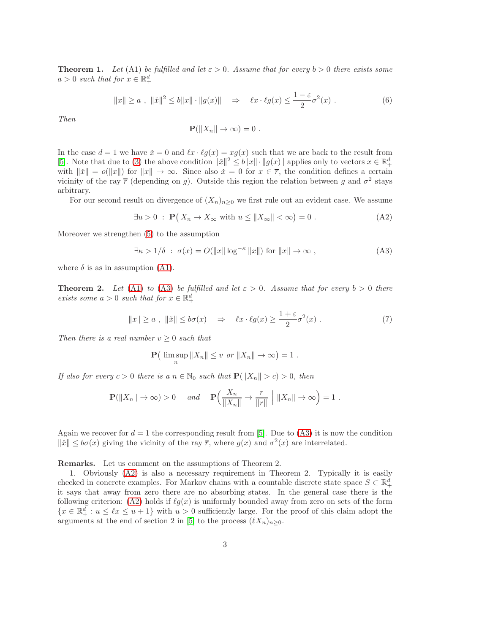**Theorem 1.** Let (A1) be fulfilled and let  $\varepsilon > 0$ . Assume that for every  $b > 0$  there exists some  $a > 0$  such that for  $x \in \mathbb{R}^d_+$ 

$$
||x|| \ge a , ||\check{x}||^2 \le b||x|| \cdot ||g(x)|| \Rightarrow \ell x \cdot \ell g(x) \le \frac{1-\varepsilon}{2}\sigma^2(x) . \tag{6}
$$

Then

<span id="page-2-3"></span><span id="page-2-1"></span><span id="page-2-0"></span>
$$
\mathbf{P}(\|X_n\| \to \infty) = 0.
$$

In the case  $d = 1$  we have  $\tilde{x} = 0$  and  $\ell x \cdot \ell g(x) = xg(x)$  such that we are back to the result from [\[5\]](#page-11-0). Note that due to [\(3\)](#page-1-1) the above condition  $\|\check{x}\|^2 \le b \|x\| \cdot \|g(x)\|$  applies only to vectors  $x \in \mathbb{R}^d_+$ with  $\|\check{x}\| = o(\|x\|)$  for  $\|x\| \to \infty$ . Since also  $\check{x} = 0$  for  $x \in \overline{r}$ , the condition defines a certain vicinity of the ray  $\bar{r}$  (depending on g). Outside this region the relation between g and  $\sigma^2$  stays arbitrary.

For our second result on divergence of  $(X_n)_{n>0}$  we first rule out an evident case. We assume

$$
\exists u > 0 : \mathbf{P}(X_n \to X_\infty \text{ with } u \le ||X_\infty|| < \infty) = 0.
$$
 (A2)

Moreover we strengthen [\(5\)](#page-1-2) to the assumption

$$
\exists \kappa > 1/\delta \; : \; \sigma(x) = O(||x|| \log^{-\kappa} ||x||) \text{ for } ||x|| \to \infty , \tag{A3}
$$

where  $\delta$  is as in assumption [\(A1\)](#page-1-3).

**Theorem 2.** Let [\(A1\)](#page-1-3) to [\(A3\)](#page-2-0) be fulfilled and let  $\varepsilon > 0$ . Assume that for every  $b > 0$  there exists some  $a > 0$  such that for  $x \in \mathbb{R}^d_+$ 

$$
||x|| \ge a , ||\tilde{x}|| \le b\sigma(x) \Rightarrow \ell x \cdot \ell g(x) \ge \frac{1+\varepsilon}{2}\sigma^2(x) . \tag{7}
$$

Then there is a real number  $v \geq 0$  such that

<span id="page-2-2"></span>
$$
\mathbf{P}\big(\limsup_n\|X_n\|\leq v\text{ or }\|X_n\|\to\infty\big)=1.
$$

If also for every  $c > 0$  there is a  $n \in \mathbb{N}_0$  such that  $\mathbf{P}(\|X_n\| > c) > 0$ , then

$$
\mathbf{P}(\|X_n\| \to \infty) > 0 \quad \text{and} \quad \mathbf{P}\left(\frac{X_n}{\|X_n\|} \to \frac{r}{\|r\|} \mid \|X_n\| \to \infty\right) = 1 \; .
$$

Again we recover for  $d = 1$  the corresponding result from [\[5\]](#page-11-0). Due to [\(A3\)](#page-2-0) it is now the condition  $\|\check{x}\| \leq b\sigma(x)$  giving the vicinity of the ray  $\overline{r}$ , where  $g(x)$  and  $\sigma^2(x)$  are interrelated.

Remarks. Let us comment on the assumptions of Theorem 2.

1. Obviously [\(A2\)](#page-2-1) is also a necessary requirement in Theorem 2. Typically it is easily checked in concrete examples. For Markov chains with a countable discrete state space  $S \subset \mathbb{R}^d_+$ it says that away from zero there are no absorbing states. In the general case there is the following criterion: [\(A2\)](#page-2-1) holds if  $\ell g(x)$  is uniformly bounded away from zero on sets of the form  $\{x \in \mathbb{R}^d_+ : u \leq \ell x \leq u+1\}$  with  $u > 0$  sufficiently large. For the proof of this claim adopt the arguments at the end of section 2 in [\[5\]](#page-11-0) to the process  $(\ell X_n)_{n>0}$ .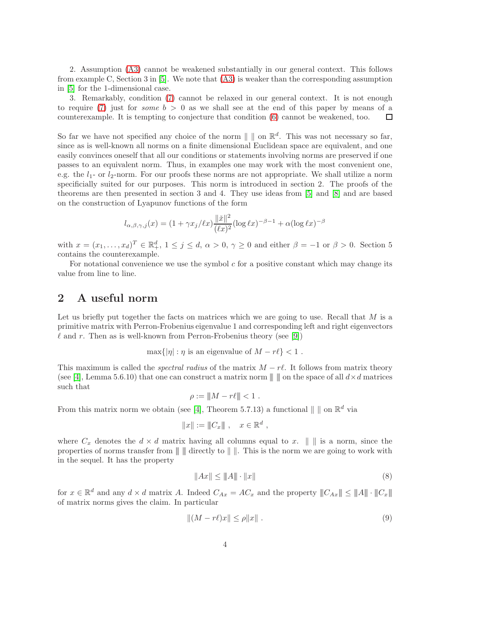2. Assumption [\(A3\)](#page-2-0) cannot be weakened substantially in our general context. This follows from example C, Section 3 in [\[5\]](#page-11-0). We note that [\(A3\)](#page-2-0) is weaker than the corresponding assumption in [\[5\]](#page-11-0) for the 1-dimensional case.

3. Remarkably, condition [\(7\)](#page-2-2) cannot be relaxed in our general context. It is not enough to require [\(7\)](#page-2-2) just for *some*  $b > 0$  as we shall see at the end of this paper by means of a counterexample. It is tempting to conjecture that condition [\(6\)](#page-2-3) cannot be weakened, too. П

So far we have not specified any choice of the norm  $\| \, \|$  on  $\mathbb{R}^d$ . This was not necessary so far, since as is well-known all norms on a finite dimensional Euclidean space are equivalent, and one easily convinces oneself that all our conditions or statements involving norms are preserved if one passes to an equivalent norm. Thus, in examples one may work with the most convenient one, e.g. the  $l_1$ - or  $l_2$ -norm. For our proofs these norms are not appropriate. We shall utilize a norm specificially suited for our purposes. This norm is introduced in section 2. The proofs of the theorems are then presented in section 3 and 4. They use ideas from [\[5\]](#page-11-0) and [\[8\]](#page-11-5) and are based on the construction of Lyapunov functions of the form

$$
l_{\alpha,\beta,\gamma,j}(x) = (1 + \gamma x_j/\ell x) \frac{\|\tilde{x}\|^2}{(\ell x)^2} (\log \ell x)^{-\beta - 1} + \alpha (\log \ell x)^{-\beta}
$$

with  $x = (x_1, \ldots, x_d)^T \in \mathbb{R}^d_+$ ,  $1 \leq j \leq d$ ,  $\alpha > 0$ ,  $\gamma \geq 0$  and either  $\beta = -1$  or  $\beta > 0$ . Section 5 contains the counterexample.

For notational convenience we use the symbol  $c$  for a positive constant which may change its value from line to line.

#### 2 A useful norm

Let us briefly put together the facts on matrices which we are going to use. Recall that  $M$  is a primitive matrix with Perron-Frobenius eigenvalue 1 and corresponding left and right eigenvectors  $\ell$  and r. Then as is well-known from Perron-Frobenius theory (see [\[9\]](#page-11-6))

$$
\max\{|\eta| : \eta \text{ is an eigenvalue of } M - r\ell\} < 1.
$$

This maximum is called the *spectral radius* of the matrix  $M - r\ell$ . It follows from matrix theory (see [\[4\]](#page-11-7), Lemma 5.6.10) that one can construct a matrix norm  $\| \cdot \|$  on the space of all  $d \times d$  matrices such that

$$
\rho := \|M - r\ell\| < 1 \; .
$$

From this matrix norm we obtain (see [\[4\]](#page-11-7), Theorem 5.7.13) a functional  $\| \|\$  on  $\mathbb{R}^d$  via

$$
||x|| := ||C_x|| , \quad x \in \mathbb{R}^d ,
$$

where  $C_x$  denotes the  $d \times d$  matrix having all columns equal to x.  $\|\cdot\|$  is a norm, since the properties of norms transfer from  $\| \|\$  directly to  $\| \|.$  This is the norm we are going to work with in the sequel. It has the property

<span id="page-3-1"></span><span id="page-3-0"></span>
$$
||Ax|| \le ||A|| \cdot ||x|| \tag{8}
$$

for  $x \in \mathbb{R}^d$  and any  $d \times d$  matrix A. Indeed  $C_{Ax} = AC_x$  and the property  $||C_{Ax}|| \le ||A|| \cdot ||C_x||$ of matrix norms gives the claim. In particular

$$
||(M - r\ell)x|| \le \rho ||x||. \tag{9}
$$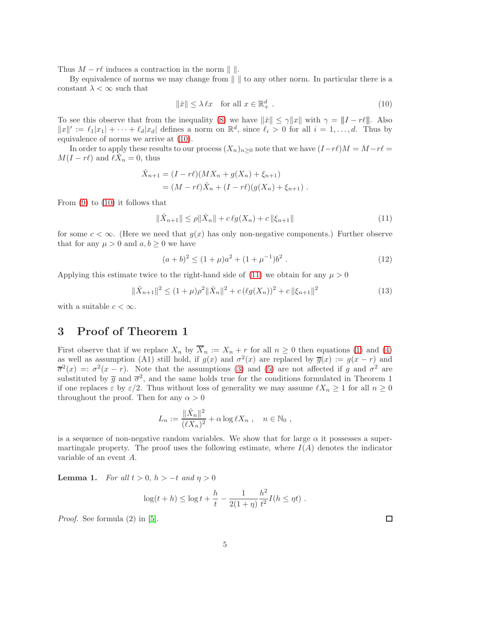Thus  $M - r\ell$  induces a contraction in the norm  $\| \cdot \|$ .

By equivalence of norms we may change from  $\| \cdot \|$  to any other norm. In particular there is a constant  $\lambda < \infty$  such that

<span id="page-4-0"></span>
$$
\|\check{x}\| \le \lambda \ell x \quad \text{for all } x \in \mathbb{R}_+^d \tag{10}
$$

To see this observe that from the inequality [\(8\)](#page-3-0) we have  $\|\tilde{x}\| \leq \gamma \|x\|$  with  $\gamma = \|I - r\ell\|$ . Also  $||x||' := \ell_1 |x_1| + \cdots + \ell_d |x_d|$  defines a norm on  $\mathbb{R}^d$ , since  $\ell_i > 0$  for all  $i = 1, \ldots, d$ . Thus by equivalence of norms we arrive at [\(10\)](#page-4-0).

In order to apply these results to our process  $(X_n)_{n>0}$  note that we have  $(I-r\ell)M = M-r\ell =$  $M(I - r\ell)$  and  $\ell \check{X}_n = 0$ , thus

$$
\tilde{X}_{n+1} = (I - r\ell)(MX_n + g(X_n) + \xi_{n+1})
$$
  
=  $(M - r\ell)\tilde{X}_n + (I - r\ell)(g(X_n) + \xi_{n+1}).$ 

From  $(9)$  to  $(10)$  it follows that

$$
\|\check{X}_{n+1}\| \le \rho \|\check{X}_n\| + c\,\ell g(X_n) + c\,\|\xi_{n+1}\| \tag{11}
$$

for some  $c < \infty$ . (Here we need that  $g(x)$  has only non-negative components.) Further observe that for any  $\mu > 0$  and  $a, b \geq 0$  we have

<span id="page-4-3"></span><span id="page-4-2"></span><span id="page-4-1"></span>
$$
(a+b)^2 \le (1+\mu)a^2 + (1+\mu^{-1})b^2.
$$
 (12)

Applying this estimate twice to the right-hand side of [\(11\)](#page-4-1) we obtain for any  $\mu > 0$ 

$$
\|\check{X}_{n+1}\|^2 \le (1+\mu)\rho^2 \|\check{X}_n\|^2 + c\left(\ell g(X_n)\right)^2 + c\|\xi_{n+1}\|^2 \tag{13}
$$

with a suitable  $c < \infty$ .

## 3 Proof of Theorem 1

First observe that if we replace  $X_n$  by  $\overline{X}_n := X_n + r$  for all  $n \geq 0$  then equations [\(1\)](#page-0-0) and [\(4\)](#page-1-0) as well as assumption (A1) still hold, if  $g(x)$  and  $\sigma^2(x)$  are replaced by  $\overline{g}(x) := g(x - r)$  and  $\overline{\sigma}^2(x) =: \sigma^2(x-r)$ . Note that the assumptions [\(3\)](#page-1-1) and [\(5\)](#page-1-2) are not affected if g and  $\sigma^2$  are substituted by  $\bar{g}$  and  $\bar{\sigma}^2$ , and the same holds true for the conditions formulated in Theorem 1 if one replaces  $\varepsilon$  by  $\varepsilon/2$ . Thus without loss of generality we may assume  $\ell X_n \geq 1$  for all  $n \geq 0$ throughout the proof. Then for any  $\alpha > 0$ 

$$
L_n := \frac{\|\check{X}_n\|^2}{(\ell X_n)^2} + \alpha \log \ell X_n , \quad n \in \mathbb{N}_0 ,
$$

is a sequence of non-negative random variables. We show that for large  $\alpha$  it possesses a supermartingale property. The proof uses the following estimate, where  $I(A)$  denotes the indicator variable of an event A.

**Lemma 1.** For all  $t > 0$ ,  $h > -t$  and  $\eta > 0$ 

$$
\log(t + h) \le \log t + \frac{h}{t} - \frac{1}{2(1 + \eta)} \frac{h^2}{t^2} I(h \le \eta t) .
$$

Proof. See formula (2) in [\[5\]](#page-11-0).

 $\Box$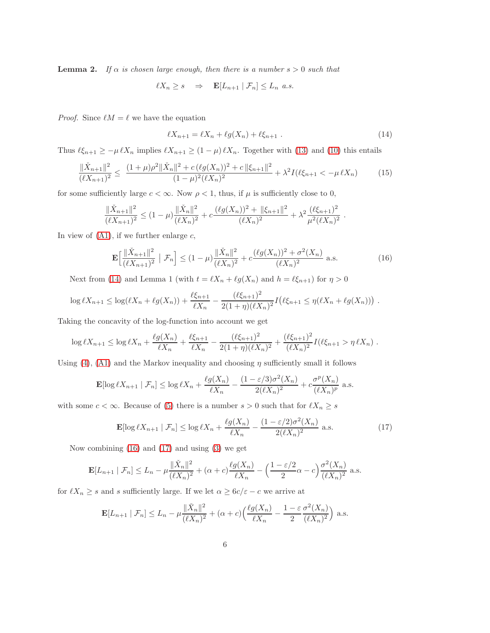**Lemma 2.** If  $\alpha$  is chosen large enough, then there is a number  $s > 0$  such that

$$
\ell X_n \ge s \quad \Rightarrow \quad \mathbf{E}[L_{n+1} \mid \mathcal{F}_n] \le L_n \ \ a.s.
$$

*Proof.* Since  $\ell M = \ell$  we have the equation

$$
\ell X_{n+1} = \ell X_n + \ell g(X_n) + \ell \xi_{n+1} . \tag{14}
$$

<span id="page-5-3"></span><span id="page-5-2"></span><span id="page-5-1"></span><span id="page-5-0"></span>.

Thus  $\ell \xi_{n+1} \geq -\mu \ell X_n$  implies  $\ell X_{n+1} \geq (1 - \mu) \ell X_n$ . Together with [\(13\)](#page-4-2) and [\(10\)](#page-4-0) this entails

$$
\frac{\|\check{X}_{n+1}\|^2}{(\ell X_{n+1})^2} \le \frac{(1+\mu)\rho^2 \|\check{X}_n\|^2 + c\left(\ell g(X_n)\right)^2 + c\left\|\xi_{n+1}\right\|^2}{(1-\mu)^2 (\ell X_n)^2} + \lambda^2 I(\ell \xi_{n+1} < -\mu \ell X_n) \tag{15}
$$

for some sufficiently large  $c < \infty$ . Now  $\rho < 1$ , thus, if  $\mu$  is sufficiently close to 0,

$$
\frac{\|\check{X}_{n+1}\|^2}{(\ell X_{n+1})^2} \le (1-\mu) \frac{\|\check{X}_n\|^2}{(\ell X_n)^2} + c \frac{(\ell g(X_n))^2 + \|\xi_{n+1}\|^2}{(\ell X_n)^2} + \lambda^2 \frac{(\ell \xi_{n+1})^2}{\mu^2 (\ell X_n)^2}
$$

In view of  $(A1)$ , if we further enlarge c,

$$
\mathbf{E}\Big[\frac{\|\check{X}_{n+1}\|^2}{(\ell X_{n+1})^2} \mid \mathcal{F}_n\Big] \le (1-\mu) \frac{\|\check{X}_n\|^2}{(\ell X_n)^2} + c \frac{(\ell g(X_n))^2 + \sigma^2(X_n)}{(\ell X_n)^2} \text{ a.s.}
$$
(16)

Next from [\(14\)](#page-5-0) and Lemma 1 (with  $t = \ell X_n + \ell g(X_n)$  and  $h = \ell \xi_{n+1}$ ) for  $\eta > 0$ 

$$
\log \ell X_{n+1} \leq \log(\ell X_n + \ell g(X_n)) + \frac{\ell \xi_{n+1}}{\ell X_n} - \frac{(\ell \xi_{n+1})^2}{2(1+\eta)(\ell X_n)^2} I(\ell \xi_{n+1} \leq \eta(\ell X_n + \ell g(X_n))) .
$$

Taking the concavity of the log-function into account we get

$$
\log \ell X_{n+1} \leq \log \ell X_n + \frac{\ell g(X_n)}{\ell X_n} + \frac{\ell \xi_{n+1}}{\ell X_n} - \frac{(\ell \xi_{n+1})^2}{2(1+\eta)(\ell X_n)^2} + \frac{(\ell \xi_{n+1})^2}{(\ell X_n)^2} I(\ell \xi_{n+1} > \eta \ell X_n) .
$$

Using  $(4)$ ,  $(41)$  and the Markov inequality and choosing  $\eta$  sufficiently small it follows

$$
\mathbf{E}[\log \ell X_{n+1} \mid \mathcal{F}_n] \le \log \ell X_n + \frac{\ell g(X_n)}{\ell X_n} - \frac{(1 - \varepsilon/3)\sigma^2(X_n)}{2(\ell X_n)^2} + c \frac{\sigma^p(X_n)}{(\ell X_n)^p} \text{ a.s.}
$$

with some  $c < \infty$ . Because of [\(5\)](#page-1-2) there is a number  $s > 0$  such that for  $\ell X_n \geq s$ 

$$
\mathbf{E}[\log \ell X_{n+1} \mid \mathcal{F}_n] \le \log \ell X_n + \frac{\ell g(X_n)}{\ell X_n} - \frac{(1 - \varepsilon/2)\sigma^2(X_n)}{2(\ell X_n)^2} \text{ a.s.}
$$
 (17)

Now combining [\(16\)](#page-5-1) and [\(17\)](#page-5-2) and using [\(3\)](#page-1-1) we get

$$
\mathbf{E}[L_{n+1} | \mathcal{F}_n] \le L_n - \mu \frac{\|\check{X}_n\|^2}{(\ell X_n)^2} + (\alpha + c) \frac{\ell g(X_n)}{\ell X_n} - \left(\frac{1 - \varepsilon/2}{2}\alpha - c\right) \frac{\sigma^2(X_n)}{(\ell X_n)^2} \text{ a.s.}
$$

for  $\ell X_n\geq s$  and  $s$  sufficiently large. If we let  $\alpha\geq 6c/\varepsilon-c$  we arrive at

$$
\mathbf{E}[L_{n+1} | \mathcal{F}_n] \le L_n - \mu \frac{\|\check{X}_n\|^2}{(\ell X_n)^2} + (\alpha + c) \left(\frac{\ell g(X_n)}{\ell X_n} - \frac{1 - \varepsilon \sigma^2(X_n)}{2} \right) \text{ a.s.}
$$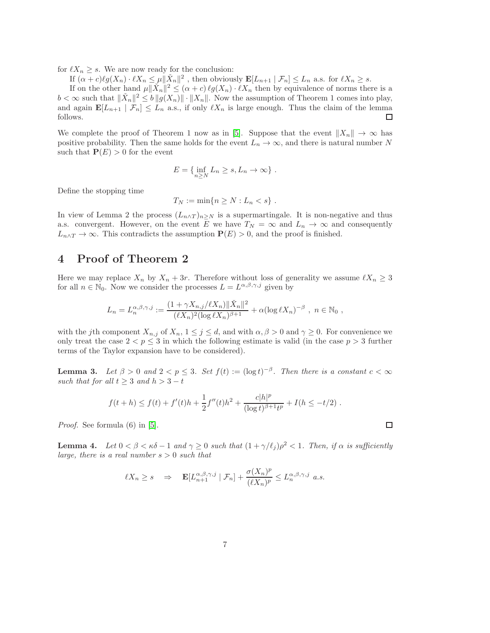for  $\ell X_n \geq s$ . We are now ready for the conclusion:

If  $(\alpha + c)\ell g(X_n) \cdot \ell X_n \leq \mu ||\check{X}_n||^2$ , then obviously  $\mathbf{E}[L_{n+1} | \mathcal{F}_n] \leq L_n$  a.s. for  $\ell X_n \geq s$ .

If on the other hand  $\mu ||\check{X}_n||^2 \leq (\alpha + c) \ell \mathcal{G}(X_n) \cdot \ell X_n$  then by equivalence of norms there is a  $b < \infty$  such that  $\|\tilde{X}_n\|^2 \le b \|g(X_n)\| \cdot \|X_n\|$ . Now the assumption of Theorem 1 comes into play, and again  $\mathbf{E}[L_{n+1} | \mathcal{F}_n] \leq L_n$  a.s., if only  $\ell X_n$  is large enough. Thus the claim of the lemma follows.  $\Box$ 

We complete the proof of Theorem 1 now as in [\[5\]](#page-11-0). Suppose that the event  $||X_n|| \to \infty$  has positive probability. Then the same holds for the event  $L_n \to \infty$ , and there is natural number N such that  $P(E) > 0$  for the event

$$
E = \{ \inf_{n \ge N} L_n \ge s, L_n \to \infty \} .
$$

Define the stopping time

$$
T_N := \min\{n \ge N : L_n < s\} \; .
$$

In view of Lemma 2 the process  $(L_{n \wedge T})_{n \geq N}$  is a supermartingale. It is non-negative and thus a.s. convergent. However, on the event E we have  $T_N = \infty$  and  $L_n \to \infty$  and consequently  $L_{n\wedge T} \to \infty$ . This contradicts the assumption  $P(E) > 0$ , and the proof is finished.

# 4 Proof of Theorem 2

Here we may replace  $X_n$  by  $X_n + 3r$ . Therefore without loss of generality we assume  $\ell X_n \geq 3$ for all  $n \in \mathbb{N}_0$ . Now we consider the processes  $L = L^{\alpha,\beta,\gamma,j}$  given by

$$
L_n = L_n^{\alpha,\beta,\gamma,j} := \frac{(1 + \gamma X_{n,j}/\ell X_n) ||\check{X}_n||^2}{(\ell X_n)^2 (\log \ell X_n)^{\beta+1}} + \alpha (\log \ell X_n)^{-\beta} , n \in \mathbb{N}_0 ,
$$

with the jth component  $X_{n,j}$  of  $X_n$ ,  $1 \leq j \leq d$ , and with  $\alpha, \beta > 0$  and  $\gamma \geq 0$ . For convenience we only treat the case  $2 < p \leq 3$  in which the following estimate is valid (in the case  $p > 3$  further terms of the Taylor expansion have to be considered).

**Lemma 3.** Let  $\beta > 0$  and  $2 < p \leq 3$ . Set  $f(t) := (\log t)^{-\beta}$ . Then there is a constant  $c < \infty$ such that for all  $t \geq 3$  and  $h > 3 - t$ 

$$
f(t+h) \le f(t) + f'(t)h + \frac{1}{2}f''(t)h^2 + \frac{c|h|^p}{(\log t)^{\beta+1}t^p} + I(h \le -t/2) .
$$

Proof. See formula (6) in [\[5\]](#page-11-0).

**Lemma 4.** Let  $0 < \beta < \kappa \delta - 1$  and  $\gamma \ge 0$  such that  $(1 + \gamma/\ell_j)\rho^2 < 1$ . Then, if  $\alpha$  is sufficiently large, there is a real number  $s > 0$  such that

$$
\ell X_n \ge s \quad \Rightarrow \quad \mathbf{E}[L_{n+1}^{\alpha,\beta,\gamma,j} \mid \mathcal{F}_n] + \frac{\sigma(X_n)^p}{(\ell X_n)^p} \le L_n^{\alpha,\beta,\gamma,j} \quad a.s.
$$

 $\Box$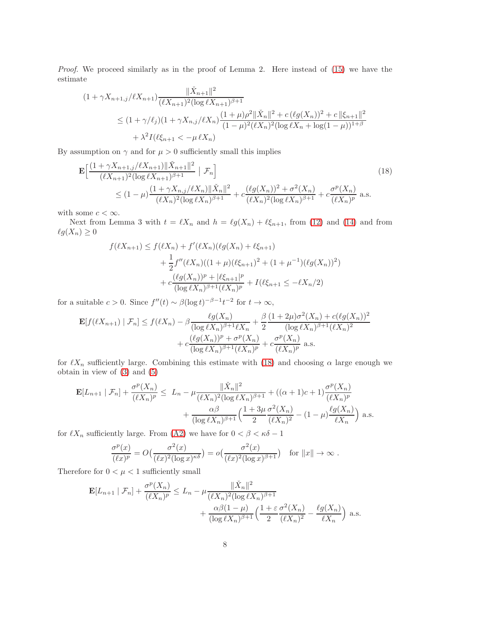Proof. We proceed similarly as in the proof of Lemma 2. Here instead of  $(15)$  we have the estimate

$$
(1 + \gamma X_{n+1,j}/\ell X_{n+1}) \frac{\|\check{X}_{n+1}\|^2}{(\ell X_{n+1})^2 (\log \ell X_{n+1})^{\beta+1}}
$$
  
\n
$$
\leq (1 + \gamma/\ell_j)(1 + \gamma X_{n,j}/\ell X_n) \frac{(1 + \mu)\rho^2 \|\check{X}_n\|^2 + c(\ell g(X_n))^2 + c\|\xi_{n+1}\|^2}{(1 - \mu)^2 (\ell X_n)^2 (\log \ell X_n + \log(1 - \mu))^{1+\beta}}
$$
  
\n
$$
+ \lambda^2 I(\ell \xi_{n+1} < -\mu \ell X_n)
$$

By assumption on  $\gamma$  and for  $\mu > 0$  sufficiently small this implies

$$
\mathbf{E} \Big[ \frac{(1+\gamma X_{n+1,j}/\ell X_{n+1}) \|\check{X}_{n+1}\|^2}{(\ell X_{n+1})^2 (\log \ell X_{n+1})^{\beta+1}} \Big| \mathcal{F}_n \Big] \tag{18}
$$
\n
$$
\leq (1-\mu) \frac{(1+\gamma X_{n,j}/\ell X_n) \|\check{X}_n\|^2}{(\ell X_n)^2 (\log \ell X_n)^{\beta+1}} + c \frac{(\ell g(X_n))^2 + \sigma^2(X_n)}{(\ell X_n)^2 (\log \ell X_n)^{\beta+1}} + c \frac{\sigma^p(X_n)}{(\ell X_n)^p} \text{ a.s.}
$$

with some  $c < \infty$ .

Next from Lemma 3 with  $t = \ell X_n$  and  $h = \ell g(X_n) + \ell \xi_{n+1}$ , from [\(12\)](#page-4-3) and [\(14\)](#page-5-0) and from  $\ell g(X_n) \geq 0$ 

<span id="page-7-0"></span>
$$
f(\ell X_{n+1}) \le f(\ell X_n) + f'(\ell X_n)(\ell g(X_n) + \ell \xi_{n+1})
$$
  
+  $\frac{1}{2} f''(\ell X_n)((1 + \mu)(\ell \xi_{n+1})^2 + (1 + \mu^{-1})(\ell g(X_n))^2)$   
+  $c \frac{(\ell g(X_n))^p + |\ell \xi_{n+1}|^p}{(\log \ell X_n)^{\beta+1}(\ell X_n)^p} + I(\ell \xi_{n+1} \le -\ell X_n/2)$ 

for a suitable  $c > 0$ . Since  $f''(t) \sim \beta(\log t)^{-\beta - 1} t^{-2}$  for  $t \to \infty$ ,

$$
\mathbf{E}[f(\ell X_{n+1}) | \mathcal{F}_n] \le f(\ell X_n) - \beta \frac{\ell g(X_n)}{(\log \ell X_n)^{\beta+1} \ell X_n} + \frac{\beta}{2} \frac{(1+2\mu)\sigma^2(X_n) + c(\ell g(X_n))^2}{(\log \ell X_n)^{\beta+1} (\ell X_n)^2} + c \frac{(\ell g(X_n))^p + \sigma^p(X_n)}{(\log \ell X_n)^{\beta+1} (\ell X_n)^p} + c \frac{\sigma^p(X_n)}{(\ell X_n)^p} \text{ a.s.}
$$

for  $\ell X_n$  sufficiently large. Combining this estimate with [\(18\)](#page-7-0) and choosing  $\alpha$  large enough we obtain in view of [\(3\)](#page-1-1) and [\(5\)](#page-1-2)

$$
\mathbf{E}[L_{n+1} | \mathcal{F}_n] + \frac{\sigma^p(X_n)}{(\ell X_n)^p} \le L_n - \mu \frac{\|\check{X}_n\|^2}{(\ell X_n)^2 (\log \ell X_n)^{\beta+1}} + ((\alpha+1)c+1) \frac{\sigma^p(X_n)}{(\ell X_n)^p} + \frac{\alpha \beta}{(\log \ell X_n)^{\beta+1}} \Big(\frac{1+3\mu}{2} \frac{\sigma^2(X_n)}{(\ell X_n)^2} - (1-\mu) \frac{\ell g(X_n)}{\ell X_n}\Big) \text{ a.s.}
$$

for  $\ell X_n$  sufficiently large. From [\(A2\)](#page-2-1) we have for  $0 < \beta < \kappa \delta - 1$ 

$$
\frac{\sigma^p(x)}{(\ell x)^p} = O\left(\frac{\sigma^2(x)}{(\ell x)^2 (\log x)^{\kappa \delta}}\right) = o\left(\frac{\sigma^2(x)}{(\ell x)^2 (\log x)^{\beta + 1}}\right) \text{ for } \|x\| \to \infty.
$$

Therefore for  $0 < \mu < 1$  sufficiently small

$$
\mathbf{E}[L_{n+1} | \mathcal{F}_n] + \frac{\sigma^p(X_n)}{(\ell X_n)^p} \le L_n - \mu \frac{\|\check{X}_n\|^2}{(\ell X_n)^2 (\log \ell X_n)^{\beta+1}} + \frac{\alpha \beta (1-\mu)}{(\log \ell X_n)^{\beta+1}} \left(\frac{1+\varepsilon \sigma^2(X_n)}{2} - \frac{\ell g(X_n)}{\ell X_n}\right) \text{ a.s.}
$$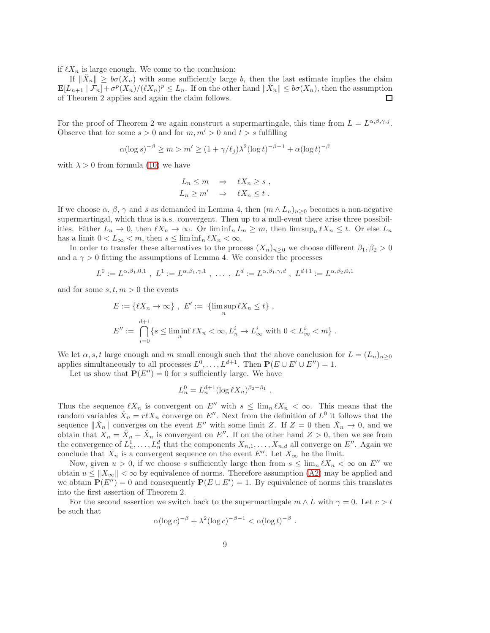if  $\ell X_n$  is large enough. We come to the conclusion:

If  $\|\check{X}_n\| \geq b\sigma(\check{X}_n)$  with some sufficiently large b, then the last estimate implies the claim  $\mathbf{E}[L_{n+1} | \mathcal{F}_n] + \sigma^p(X_n) / (\ell X_n)^p \leq L_n$ . If on the other hand  $\|\check{X}_n\| \leq b\sigma(X_n)$ , then the assumption of Theorem 2 applies and again the claim follows. П

For the proof of Theorem 2 we again construct a supermartingale, this time from  $L = L^{\alpha,\beta,\gamma,j}$ . Observe that for some  $s > 0$  and for  $m, m' > 0$  and  $t > s$  fulfilling

$$
\alpha(\log s)^{-\beta} \ge m > m' \ge (1 + \gamma/\ell_j)\lambda^2(\log t)^{-\beta - 1} + \alpha(\log t)^{-\beta}
$$

with  $\lambda > 0$  from formula [\(10\)](#page-4-0) we have

$$
L_n \le m \Rightarrow \ell X_n \ge s ,
$$
  

$$
L_n \ge m' \Rightarrow \ell X_n \le t .
$$

If we choose  $\alpha$ ,  $\beta$ ,  $\gamma$  and s as demanded in Lemma 4, then  $(m \wedge L_n)_{n\geq 0}$  becomes a non-negative supermartingal, which thus is a.s. convergent. Then up to a null-event there arise three possibilities. Either  $L_n \to 0$ , then  $\ell X_n \to \infty$ . Or lim inf<sub>n</sub>  $L_n \geq m$ , then lim sup<sub>n</sub>  $\ell X_n \leq t$ . Or else  $L_n$ has a limit  $0 < L_{\infty} < m$ , then  $s \leq \liminf_{n} \ell X_n < \infty$ .

In order to transfer these alternatives to the process  $(X_n)_{n\geq 0}$  we choose different  $\beta_1, \beta_2 > 0$ and a  $\gamma > 0$  fitting the assumptions of Lemma 4. We consider the processes

$$
L^0 := L^{\alpha,\beta_1,0,1} \ , \ L^1 := L^{\alpha,\beta_1,\gamma,1} \ , \ \dots \ , \ L^d := L^{\alpha,\beta_1,\gamma,d} \ , \ L^{d+1} := L^{\alpha,\beta_2,0,1}
$$

and for some  $s, t, m > 0$  the events

$$
E := \{ \ell X_n \to \infty \}, \ E' := \{ \limsup_n \ell X_n \le t \},
$$
  

$$
E'' := \bigcap_{i=0}^{d+1} \{ s \le \liminf_n \ell X_n < \infty, L_n^i \to L_\infty^i \text{ with } 0 < L_\infty^i < m \}.
$$

We let  $\alpha, s, t$  large enough and m small enough such that the above conclusion for  $L = (L_n)_{n>0}$ applies simultaneously to all processes  $L^0, \ldots, L^{d+1}$ . Then  $P(E \cup E' \cup E'') = 1$ .

Let us show that  $P(E'') = 0$  for s sufficiently large. We have

$$
L_n^0 = L_n^{d+1} (\log \ell X_n)^{\beta_2 - \beta_1} .
$$

Thus the sequence  $\ell X_n$  is convergent on  $E''$  with  $s \leq \lim_{n \ell X_n} \ell X_n < \infty$ . This means that the random variables  $\hat{X}_n = r\ell X_n$  converge on E''. Next from the definition of  $L^0$  it follows that the sequence  $\|\check{X}_n\|$  converges on the event E'' with some limit Z. If  $Z = 0$  then  $\check{X}_n \to 0$ , and we obtain that  $X_n = \hat{X}_n + \check{X}_n$  is convergent on E''. If on the other hand  $Z > 0$ , then we see from the convergence of  $L_n^1, \ldots, L_n^d$  that the components  $X_{n,1}, \ldots, X_{n,d}$  all converge on  $E''$ . Again we conclude that  $X_n$  is a convergent sequence on the event E''. Let  $X_\infty$  be the limit.

Now, given  $u > 0$ , if we choose s sufficiently large then from  $s \leq \lim_{n} \ell X_n < \infty$  on  $E''$  we obtain  $u \leq ||X_\infty|| < \infty$  by equivalence of norms. Therefore assumption [\(A2\)](#page-2-1) may be applied and we obtain  $\mathbf{P}(E'') = 0$  and consequently  $\mathbf{P}(E \cup E') = 1$ . By equivalence of norms this translates into the first assertion of Theorem 2.

For the second assertion we switch back to the supermartingale  $m \wedge L$  with  $\gamma = 0$ . Let  $c > t$ be such that

$$
\alpha(\log c)^{-\beta} + \lambda^2(\log c)^{-\beta - 1} < \alpha(\log t)^{-\beta} \; .
$$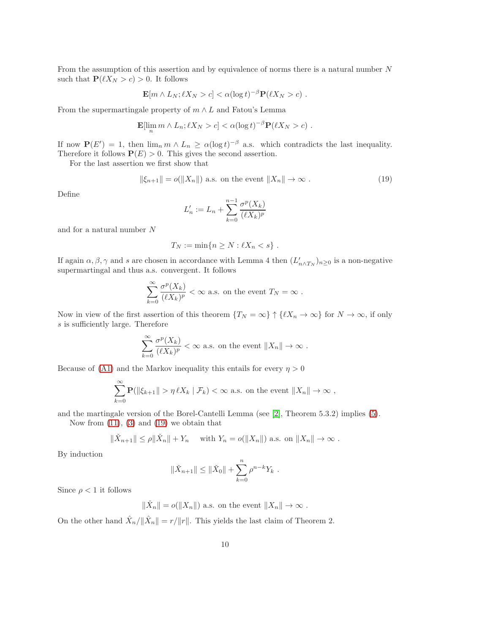From the assumption of this assertion and by equivalence of norms there is a natural number N such that  $\mathbf{P}(\ell X_N > c) > 0$ . It follows

$$
\mathbf{E}[m \wedge L_N; \ell X_N > c] < \alpha (\log t)^{-\beta} \mathbf{P}(\ell X_N > c) .
$$

From the supermartingale property of  $m \wedge L$  and Fatou's Lemma

$$
\mathbf{E}[\lim_n m \wedge L_n; \ell X_N > c] < \alpha(\log t)^{-\beta} \mathbf{P}(\ell X_N > c) .
$$

If now  $\mathbf{P}(E') = 1$ , then  $\lim_n m \wedge L_n \ge \alpha(\log t)^{-\beta}$  a.s. which contradicts the last inequality. Therefore it follows  $P(E) > 0$ . This gives the second assertion.

For the last assertion we first show that

$$
\|\xi_{n+1}\| = o(\|X_n\|) \text{ a.s. on the event } \|X_n\| \to \infty. \tag{19}
$$

Define

<span id="page-9-0"></span>
$$
L'_n := L_n + \sum_{k=0}^{n-1} \frac{\sigma^p(X_k)}{(\ell X_k)^p}
$$

and for a natural number N

$$
T_N := \min\{n \ge N : \ell X_n < s\} \; .
$$

If again  $\alpha, \beta, \gamma$  and s are chosen in accordance with Lemma 4 then  $(L'_{n \wedge T_N})_{n \geq 0}$  is a non-negative supermartingal and thus a.s. convergent. It follows

$$
\sum_{k=0}^\infty \frac{\sigma^p(X_k)}{(\ell X_k)^p}<\infty\text{ a.s. on the event }T_N=\infty\ .
$$

Now in view of the first assertion of this theorem  $\{T_N = \infty\} \uparrow \{ \ell X_n \to \infty\}$  for  $N \to \infty$ , if only s is sufficiently large. Therefore

$$
\sum_{k=0}^{\infty} \frac{\sigma^p(X_k)}{(\ell X_k)^p} < \infty \text{ a.s. on the event } \|X_n\| \to \infty .
$$

Because of [\(A1\)](#page-1-3) and the Markov inequality this entails for every  $\eta > 0$ 

$$
\sum_{k=0}^{\infty} \mathbf{P}(\|\xi_{k+1}\| > \eta \ell X_k \mid \mathcal{F}_k) < \infty \text{ a.s. on the event } \|X_n\| \to \infty ,
$$

and the martingale version of the Borel-Cantelli Lemma (see [\[2\]](#page-11-8), Theorem 5.3.2) implies [\(5\)](#page-1-2).

Now from  $(11)$ ,  $(3)$  and  $(19)$  we obtain that

$$
\|\check{X}_{n+1}\| \le \rho \|\check{X}_n\| + Y_n
$$
 with  $Y_n = o(\|X_n\|)$  a.s. on  $\|X_n\| \to \infty$ .

By induction

$$
\|\check{X}_{n+1}\| \le \|\check{X}_0\| + \sum_{k=0}^n \rho^{n-k} Y_k.
$$

Since  $\rho < 1$  it follows

$$
\|\check{X}_n\| = o(\|X_n\|)
$$
 a.s. on the event 
$$
\|X_n\| \to \infty
$$
.

On the other hand  $\hat{X}_n/\|\hat{X}_n\| = r/\|r\|$ . This yields the last claim of Theorem 2.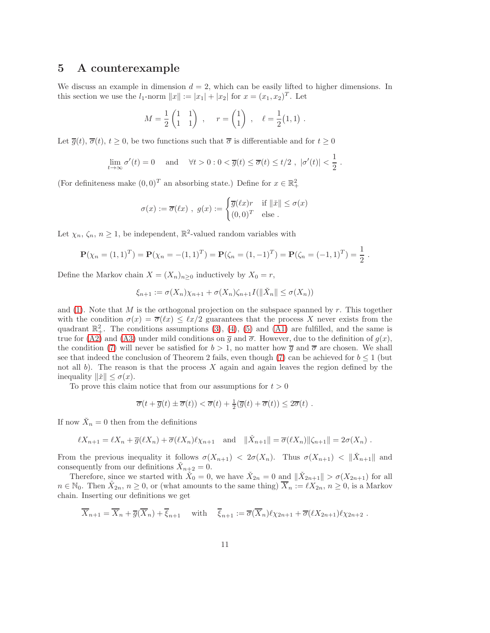#### 5 A counterexample

We discuss an example in dimension  $d = 2$ , which can be easily lifted to higher dimensions. In this section we use the  $l_1$ -norm  $||x|| := |x_1| + |x_2|$  for  $x = (x_1, x_2)^T$ . Let

$$
M = \frac{1}{2} \begin{pmatrix} 1 & 1 \\ 1 & 1 \end{pmatrix} , \quad r = \begin{pmatrix} 1 \\ 1 \end{pmatrix} , \quad \ell = \frac{1}{2} (1, 1) .
$$

Let  $\overline{g}(t), \overline{\sigma}(t), t \geq 0$ , be two functions such that  $\overline{\sigma}$  is differentiable and for  $t \geq 0$ 

$$
\lim_{t \to \infty} \sigma'(t) = 0 \quad \text{and} \quad \forall t > 0 : 0 < \overline{g}(t) \le \overline{\sigma}(t) \le t/2 , \ |\sigma'(t)| < \frac{1}{2} .
$$

(For definiteness make  $(0,0)^T$  an absorbing state.) Define for  $x \in \mathbb{R}^2_+$ 

$$
\sigma(x) := \overline{\sigma}(\ell x) , \ g(x) := \begin{cases} \overline{g}(\ell x) r & \text{if } ||\check{x}|| \le \sigma(x) \\ (0,0)^T & \text{else.} \end{cases}
$$

Let  $\chi_n, \zeta_n, n \geq 1$ , be independent,  $\mathbb{R}^2$ -valued random variables with

$$
\mathbf{P}(\chi_n = (1,1)^T) = \mathbf{P}(\chi_n = -(1,1)^T) = \mathbf{P}(\zeta_n = (1,-1)^T) = \mathbf{P}(\zeta_n = (-1,1)^T) = \frac{1}{2}.
$$

Define the Markov chain  $X = (X_n)_{n \geq 0}$  inductively by  $X_0 = r$ ,

$$
\xi_{n+1} := \sigma(X_n)\chi_{n+1} + \sigma(X_n)\zeta_{n+1}I(\|\check{X}_n\| \le \sigma(X_n))
$$

and [\(1\)](#page-0-0). Note that M is the orthogonal projection on the subspace spanned by r. This together with the condition  $\sigma(x) = \overline{\sigma}(x) \leq \ell x/2$  guarantees that the process X never exists from the quadrant  $\mathbb{R}^2_+$ . The conditions assumptions [\(3\)](#page-1-1), [\(4\)](#page-1-0), [\(5\)](#page-1-2) and [\(A1\)](#page-1-3) are fulfilled, and the same is true for [\(A2\)](#page-2-1) and [\(A3\)](#page-2-0) under mild conditions on  $\overline{g}$  and  $\overline{\sigma}$ . However, due to the definition of  $g(x)$ , the condition [\(7\)](#page-2-2) will never be satisfied for  $b > 1$ , no matter how  $\overline{q}$  and  $\overline{\sigma}$  are chosen. We shall see that indeed the conclusion of Theorem 2 fails, even though [\(7\)](#page-2-2) can be achieved for  $b \leq 1$  (but not all b). The reason is that the process  $X$  again and again leaves the region defined by the inequality  $\|\check{x}\| \leq \sigma(x)$ .

To prove this claim notice that from our assumptions for  $t > 0$ 

$$
\overline{\sigma}(t+\overline{g}(t)\pm \overline{\sigma}(t)) < \overline{\sigma}(t)+\frac{1}{2}(\overline{g}(t)+\overline{\sigma}(t)) \leq 2\overline{\sigma}(t) .
$$

If now  $\check{X}_n = 0$  then from the definitions

$$
\ell X_{n+1} = \ell X_n + \overline{g}(\ell X_n) + \overline{\sigma}(\ell X_n)\ell \chi_{n+1} \quad \text{and} \quad \|\check{X}_{n+1}\| = \overline{\sigma}(\ell X_n) \|\zeta_{n+1}\| = 2\sigma(X_n) .
$$

From the previous inequality it follows  $\sigma(X_{n+1}) < 2\sigma(X_n)$ . Thus  $\sigma(X_{n+1}) < ||\tilde{X}_{n+1}||$  and consequently from our definitions  $\check{X}_{n+2} = 0$ .

Therefore, since we started with  $\check{X}_0 = 0$ , we have  $\check{X}_{2n} = 0$  and  $\|\check{X}_{2n+1}\| > \sigma(X_{2n+1})$  for all  $n \in \mathbb{N}_0$ . Then  $\hat{X}_{2n}, n \geq 0$ , or (what amounts to the same thing)  $\overline{X}_n := \ell X_{2n}, n \geq 0$ , is a Markov chain. Inserting our definitions we get

$$
\overline{X}_{n+1} = \overline{X}_n + \overline{g}(\overline{X}_n) + \overline{\xi}_{n+1} \quad \text{with} \quad \overline{\xi}_{n+1} := \overline{\sigma}(\overline{X}_n) \ell \chi_{2n+1} + \overline{\sigma}(\ell X_{2n+1}) \ell \chi_{2n+2} .
$$